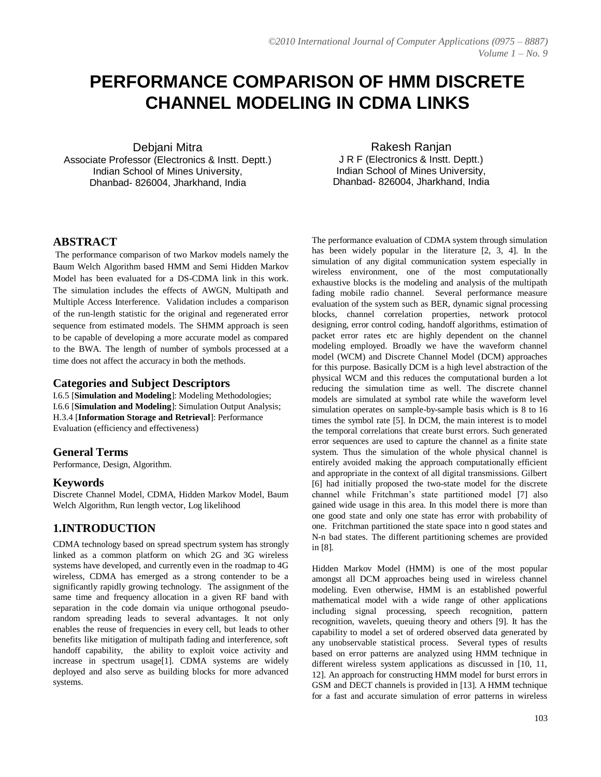# **PERFORMANCE COMPARISON OF HMM DISCRETE CHANNEL MODELING IN CDMA LINKS**

Debjani Mitra

Associate Professor (Electronics & Instt. Deptt.) Indian School of Mines University, Dhanbad- 826004, Jharkhand, India

Rakesh Ranjan J R F (Electronics & Instt. Deptt.) Indian School of Mines University, Dhanbad- 826004, Jharkhand, India

# **ABSTRACT**

The performance comparison of two Markov models namely the Baum Welch Algorithm based HMM and Semi Hidden Markov Model has been evaluated for a DS-CDMA link in this work. The simulation includes the effects of AWGN, Multipath and Multiple Access Interference. Validation includes a comparison of the run-length statistic for the original and regenerated error sequence from estimated models. The SHMM approach is seen to be capable of developing a more accurate model as compared to the BWA. The length of number of symbols processed at a time does not affect the accuracy in both the methods.

## **Categories and Subject Descriptors**

I.6.5 [**Simulation and Modeling**]: Modeling Methodologies; I.6.6 [**Simulation and Modeling**]: Simulation Output Analysis; H.3.4 [**Information Storage and Retrieval**]: Performance Evaluation (efficiency and effectiveness)

## **General Terms**

Performance, Design, Algorithm.

#### **Keywords**

Discrete Channel Model, CDMA, Hidden Markov Model, Baum Welch Algorithm, Run length vector, Log likelihood

## **1.INTRODUCTION**

CDMA technology based on spread spectrum system has strongly linked as a common platform on which 2G and 3G wireless systems have developed, and currently even in the roadmap to 4G wireless, CDMA has emerged as a strong contender to be a significantly rapidly growing technology. The assignment of the same time and frequency allocation in a given RF band with separation in the code domain via unique orthogonal pseudorandom spreading leads to several advantages. It not only enables the reuse of frequencies in every cell, but leads to other benefits like mitigation of multipath fading and interference, soft handoff capability, the ability to exploit voice activity and increase in spectrum usage[1]. CDMA systems are widely deployed and also serve as building blocks for more advanced systems.

The performance evaluation of CDMA system through simulation has been widely popular in the literature [2, 3, 4]. In the simulation of any digital communication system especially in wireless environment, one of the most computationally exhaustive blocks is the modeling and analysis of the multipath fading mobile radio channel. Several performance measure evaluation of the system such as BER, dynamic signal processing blocks, channel correlation properties, network protocol designing, error control coding, handoff algorithms, estimation of packet error rates etc are highly dependent on the channel modeling employed. Broadly we have the waveform channel model (WCM) and Discrete Channel Model (DCM) approaches for this purpose. Basically DCM is a high level abstraction of the physical WCM and this reduces the computational burden a lot reducing the simulation time as well. The discrete channel models are simulated at symbol rate while the waveform level simulation operates on sample-by-sample basis which is 8 to 16 times the symbol rate [5]. In DCM, the main interest is to model the temporal correlations that create burst errors. Such generated error sequences are used to capture the channel as a finite state system. Thus the simulation of the whole physical channel is entirely avoided making the approach computationally efficient and appropriate in the context of all digital transmissions. Gilbert [6] had initially proposed the two-state model for the discrete channel while Fritchman"s state partitioned model [7] also gained wide usage in this area. In this model there is more than one good state and only one state has error with probability of one. Fritchman partitioned the state space into n good states and N-n bad states. The different partitioning schemes are provided in [8].

Hidden Markov Model (HMM) is one of the most popular amongst all DCM approaches being used in wireless channel modeling. Even otherwise, HMM is an established powerful mathematical model with a wide range of other applications including signal processing, speech recognition, pattern recognition, wavelets, queuing theory and others [9]. It has the capability to model a set of ordered observed data generated by any unobservable statistical process. Several types of results based on error patterns are analyzed using HMM technique in different wireless system applications as discussed in [10, 11, 12]. An approach for constructing HMM model for burst errors in GSM and DECT channels is provided in [13]. A HMM technique for a fast and accurate simulation of error patterns in wireless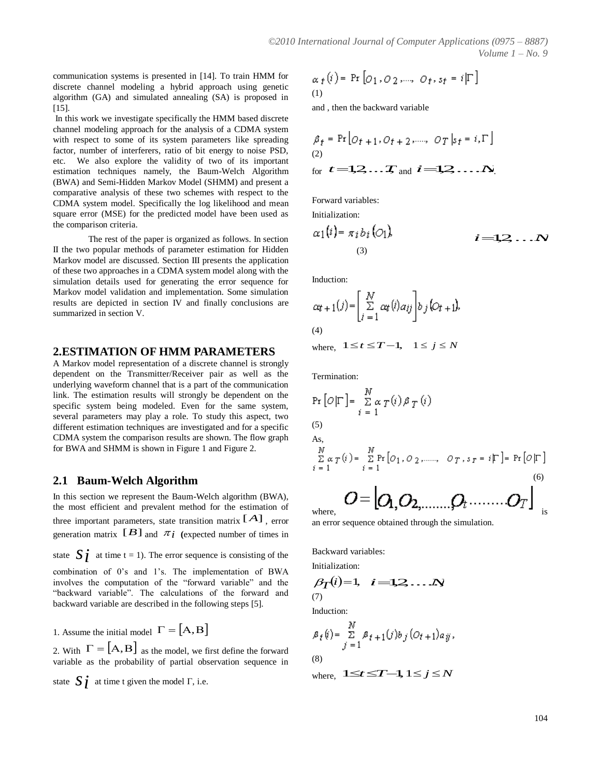communication systems is presented in [14]. To train HMM for discrete channel modeling a hybrid approach using genetic algorithm (GA) and simulated annealing (SA) is proposed in [15].

In this work we investigate specifically the HMM based discrete channel modeling approach for the analysis of a CDMA system with respect to some of its system parameters like spreading factor, number of interferers, ratio of bit energy to noise PSD, etc. We also explore the validity of two of its important estimation techniques namely, the Baum-Welch Algorithm (BWA) and Semi-Hidden Markov Model (SHMM) and present a comparative analysis of these two schemes with respect to the CDMA system model. Specifically the log likelihood and mean square error (MSE) for the predicted model have been used as the comparison criteria.

The rest of the paper is organized as follows. In section II the two popular methods of parameter estimation for Hidden Markov model are discussed. Section III presents the application of these two approaches in a CDMA system model along with the simulation details used for generating the error sequence for Markov model validation and implementation. Some simulation results are depicted in section IV and finally conclusions are summarized in section V.

#### **2.ESTIMATION OF HMM PARAMETERS**

A Markov model representation of a discrete channel is strongly dependent on the Transmitter/Receiver pair as well as the underlying waveform channel that is a part of the communication link. The estimation results will strongly be dependent on the specific system being modeled. Even for the same system, several parameters may play a role. To study this aspect, two different estimation techniques are investigated and for a specific CDMA system the comparison results are shown. The flow graph for BWA and SHMM is shown in Figure 1 and Figure 2.

## **2.1 Baum-Welch Algorithm**

In this section we represent the Baum-Welch algorithm (BWA), the most efficient and prevalent method for the estimation of three important parameters, state transition matrix  $[A]$ , error and error sequence of generation matrix  $[B]$  and  $\pi_i$  (expected number of times in

state  $\int \vec{i}$  at time t = 1). The error sequence is consisting of the

combination of 0"s and 1"s. The implementation of BWA involves the computation of the "forward variable" and the "backward variable". The calculations of the forward and backward variable are described in the following steps [5].

1. Assume the initial model  $\Gamma = [\mathbf{A}, \mathbf{B}]$   $\begin{array}{ccc} & N & N \\ & & \mathbf{g}_{\ell}(\mathbf{y}) = \sum_{\mathbf{B}_{\ell}} \mathbf{g}_{\ell} \end{array}$ 

2. With  $\Gamma = [A, B]$  as the model, we first define the forward variable as the probability of partial observation sequence in

state 
$$
\mathbf{S} \mathbf{i}
$$
 at time t given the model  $\Gamma$ , i.e.

$$
\alpha_f(i) = \Pr\left[O_1, O_2, \dots, O_f, s_f = i|\Gamma\right]
$$
  
(1)

and , then the backward variable

$$
\beta_f = \Pr\left[O_{f+1}, O_{f+2}, \dots, O_T | s_f = i, \Gamma\right]
$$
  
(2)  
for  $t = 1, 2, \dots, T$  and  $i = 1, 2, \dots, N$ .

Forward variables:

Initialization:

$$
\alpha_1(i) = \pi_i b_i (O_1), \qquad i = 1, 2, \ldots N
$$

Induction:

$$
\alpha t + 1(j) = \left[ \sum_{i=1}^{N} \alpha t(i) a_{ij} \right] b_j \left[ O_{t+1} \right],
$$
\n
$$
\text{(4)}
$$
\n
$$
\text{where, } 1 \le t \le T - 1, \quad 1 \le j \le N
$$

Termination:

$$
\Pr\left[O|\Gamma\right] = \sum_{i=1}^{N} \alpha \gamma(i) \beta \gamma(i)
$$
\n(5)

\nAs,

\n
$$
\sum_{i=1}^{N} \alpha \gamma(i) = \sum_{i=1}^{N} \Pr\left[O_1, O_2, \dots, O_T, s_T = i|\Gamma\right] = \Pr\left[O|\Gamma\right]
$$
\n(6)

\n
$$
O = |O_1, O_2, \dots, O_T \quad \dots \quad O_T \quad \dots \quad O_T \quad \dots \quad O_T
$$

where,  $\blacksquare$  is

an error sequence obtained through the simulation.

Backward variables:

Initialization:

$$
\beta_{\mathcal{T}}(i)=1, \quad i=1,2,\ldots,N
$$
\n(7)

Induction:

$$
\begin{aligned} \beta_t(i) &= \sum_{j=1}^N \beta_{t+1}(j) b_j \left( O_{t+1} \right) a_{ij}, \\ (8) \end{aligned}
$$

where,  $1 \le t \le T-1$ ,  $1 \le j \le N$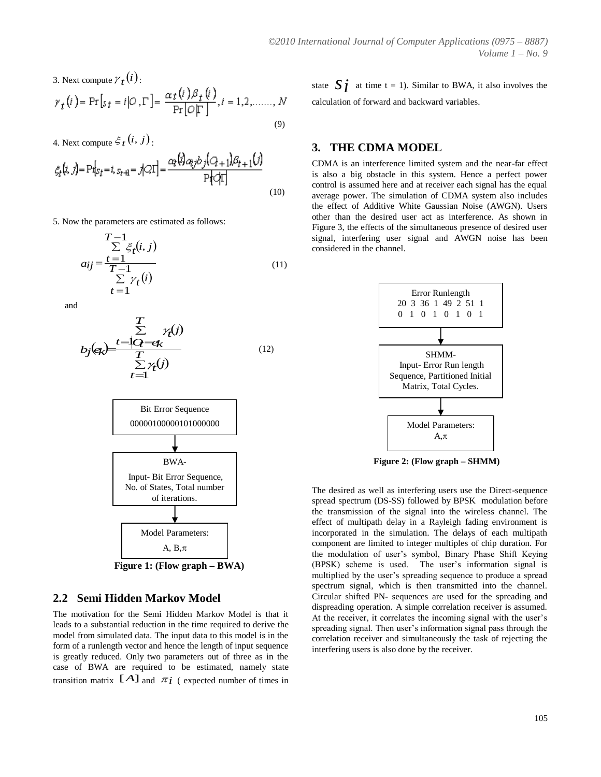3. Next compute  $\gamma_t(i)$ :

$$
\gamma_t(i) = \Pr[s_t = i | O, \Gamma] = \frac{\alpha_t(i)\beta_t(i)}{\Pr[O|\Gamma]}, i = 1, 2, \dots, N
$$
\n(9)

4. Next compute  $\mathcal{E}_t(i, j)$ :

$$
\xi_t(i, j) = \mathbf{P}\mathbf{1}_{S_t} = i, s_{t+1} = j|\mathcal{Q}|\mathbf{1}| = \frac{\alpha_t(i)a_{ij}b_j(\mathcal{Q}_{t+1})\beta_{t+1}(j)}{\mathbf{P}[\mathcal{Q}|\mathbf{1}]}
$$
\n(10)

5. Now the parameters are estimated as follows:

$$
T-1
$$
  
\n
$$
\sum \zeta_t(i,j)
$$
  
\n
$$
a_{ij} = \frac{t=1}{T-1}
$$
  
\n
$$
\sum \gamma_t(i)
$$
  
\n
$$
t=1
$$
\n(11)

and

$$
E \n\sum_{j \in \mathcal{R}} \frac{1}{\sum_{t=1}^{T} \gamma(t)}
$$
\n
$$
E \gamma(t)
$$
\n
$$
E \gamma(t)
$$
\n
$$
E \gamma(t)
$$
\n
$$
t = 1
$$
\n(12)



 **Figure 1: (Flow graph – BWA)**

## **2.2 Semi Hidden Markov Model**

The motivation for the Semi Hidden Markov Model is that it leads to a substantial reduction in the time required to derive the model from simulated data. The input data to this model is in the form of a runlength vector and hence the length of input sequence is greatly reduced. Only two parameters out of three as in the case of BWA are required to be estimated, namely state transition matrix  $[A]$  and  $\pi i$  (expected number of times in

 $(i)$ state  $\mathbf{S}_{\ell}$  at time t = 1). Similar to BWA, it also involves the calculation of forward and backward variables.

#### **3. THE CDMA MODEL**

CDMA is an interference limited system and the near-far effect is also a big obstacle in this system. Hence a perfect power control is assumed here and at receiver each signal has the equal average power. The simulation of CDMA system also includes the effect of Additive White Gaussian Noise (AWGN). Users other than the desired user act as interference. As shown in Figure 3, the effects of the simultaneous presence of desired user signal, interfering user signal and AWGN noise has been considered in the channel.



**Figure 2: (Flow graph – SHMM)**

The desired as well as interfering users use the Direct-sequence spread spectrum (DS-SS) followed by BPSK modulation before the transmission of the signal into the wireless channel. The effect of multipath delay in a Rayleigh fading environment is incorporated in the simulation. The delays of each multipath component are limited to integer multiples of chip duration. For the modulation of user"s symbol, Binary Phase Shift Keying (BPSK) scheme is used. The user"s information signal is multiplied by the user"s spreading sequence to produce a spread spectrum signal, which is then transmitted into the channel. Circular shifted PN- sequences are used for the spreading and dispreading operation. A simple correlation receiver is assumed. At the receiver, it correlates the incoming signal with the user"s spreading signal. Then user's information signal pass through the correlation receiver and simultaneously the task of rejecting the interfering users is also done by the receiver.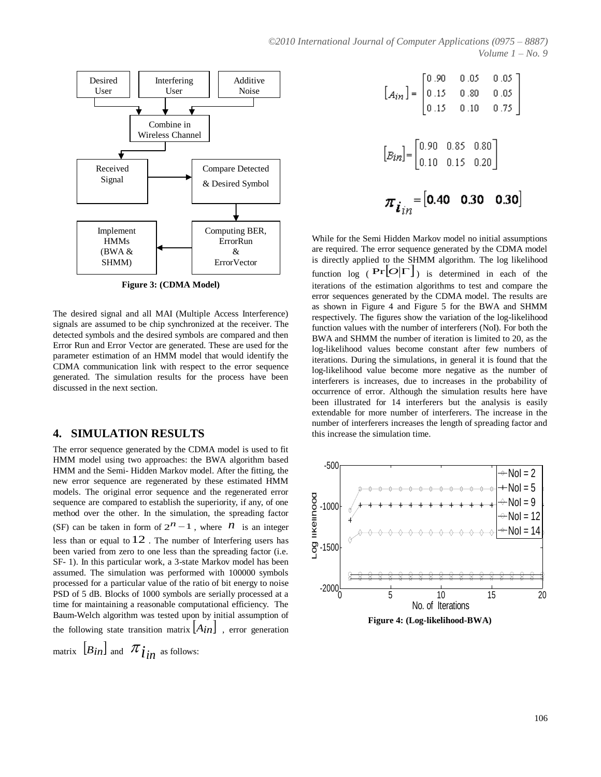

**Figure 3: (CDMA Model)**

The desired signal and all MAI (Multiple Access Interference) signals are assumed to be chip synchronized at the receiver. The detected symbols and the desired symbols are compared and then Error Run and Error Vector are generated. These are used for the parameter estimation of an HMM model that would identify the CDMA communication link with respect to the error sequence generated. The simulation results for the process have been discussed in the next section.

## **4. SIMULATION RESULTS**

The error sequence generated by the CDMA model is used to fit HMM model using two approaches: the BWA algorithm based HMM and the Semi- Hidden Markov model. After the fitting, the new error sequence are regenerated by these estimated HMM models. The original error sequence and the regenerated error sequence are compared to establish the superiority, if any, of one method over the other. In the simulation, the spreading factor (SF) can be taken in form of  $2^n - 1$ , where  $\overrightarrow{n}$  is an integer  $\overrightarrow{Q}$   $*$ less than or equal to 12. The number of Interfering users has been varied from zero to one less than the spreading factor (i.e. SF- 1). In this particular work, a 3-state Markov model has been assumed. The simulation was performed with 100000 symbols processed for a particular value of the ratio of bit energy to noise PSD of 5 dB. Blocks of 1000 symbols are serially processed at a time for maintaining a reasonable computational efficiency. The Baum-Welch algorithm was tested upon by initial assumption of the following state transition matrix  $[A_{in}]$ , error generation

matrix  $\left[ B_{in} \right]$  and  $\pi_{\hat{i}n}$  as follows:

$$
[A_{in}] = \begin{bmatrix} 0.90 & 0.05 & 0.05 \\ 0.15 & 0.80 & 0.05 \\ 0.15 & 0.10 & 0.75 \end{bmatrix}
$$

$$
[B_{in}] = \begin{bmatrix} 0.90 & 0.85 & 0.80 \\ 0.10 & 0.15 & 0.20 \end{bmatrix}
$$

$$
\boldsymbol{\pi}_{\boldsymbol{i}_{in}} = \begin{bmatrix} 0.40 & 0.30 & 0.30 \end{bmatrix}
$$

While for the Semi Hidden Markov model no initial assumptions are required. The error sequence generated by the CDMA model is directly applied to the SHMM algorithm. The log likelihood function  $\log (\Pr[O|\Gamma])$  is determined in each of the iterations of the estimation algorithms to test and compare the error sequences generated by the CDMA model. The results are as shown in Figure 4 and Figure 5 for the BWA and SHMM respectively. The figures show the variation of the log-likelihood function values with the number of interferers (NoI). For both the BWA and SHMM the number of iteration is limited to 20, as the log-likelihood values become constant after few numbers of iterations. During the simulations, in general it is found that the log-likelihood value become more negative as the number of interferers is increases, due to increases in the probability of occurrence of error. Although the simulation results here have been illustrated for 14 interferers but the analysis is easily extendable for more number of interferers. The increase in the number of interferers increases the length of spreading factor and this increase the simulation time.



**Figure 4: (Log-likelihood-BWA)**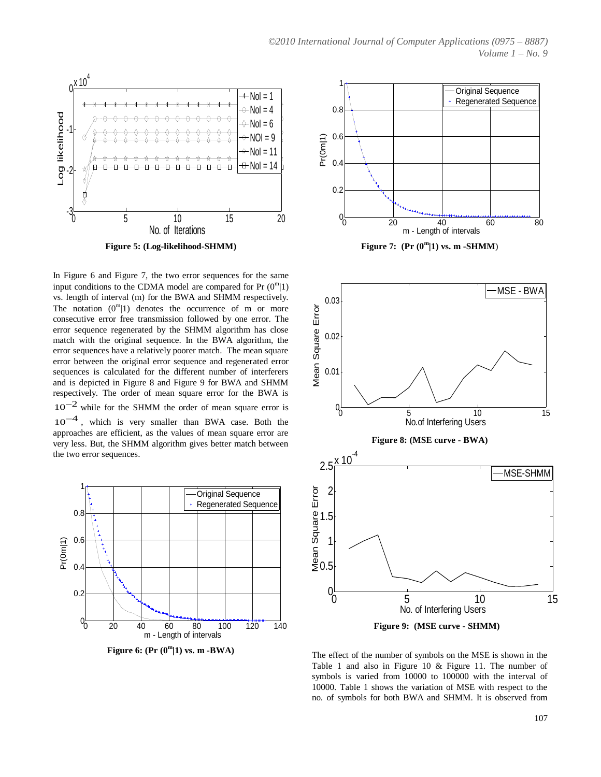

In Figure 6 and Figure 7, the two error sequences for the same input conditions to the CDMA model are compared for Pr  $(0<sup>m</sup>|1)$ vs. length of interval (m) for the BWA and SHMM respectively. The notation  $(0^m|1)$  denotes the occurrence of m or more consecutive error free transmission followed by one error. The error sequence regenerated by the SHMM algorithm has close match with the original sequence. In the BWA algorithm, the error sequences have a relatively poorer match. The mean square error between the original error sequence and regenerated error sequences is calculated for the different number of interferers and is depicted in Figure 8 and Figure 9 for BWA and SHMM respectively. The order of mean square error for the BWA is  $10^{-2}$  while for the SHMM the order of mean square error is 10<sup>-4</sup>, which is very smaller than BWA case. Both the approaches are efficient, as the values of mean square error are very less. But, the SHMM algorithm gives better match between the two error sequences.



**Figure 6: (Pr (0<sup>m</sup> 1) vs. m -BWA)** 



Figure 7:  $(\Pr(0^m|1))$  vs. m -SHMM)



 **Figure 9: (MSE curve - SHMM)**

The effect of the number of symbols on the MSE is shown in the Table 1 and also in Figure 10 & Figure 11. The number of symbols is varied from 10000 to 100000 with the interval of 10000. Table 1 shows the variation of MSE with respect to the no. of symbols for both BWA and SHMM. It is observed from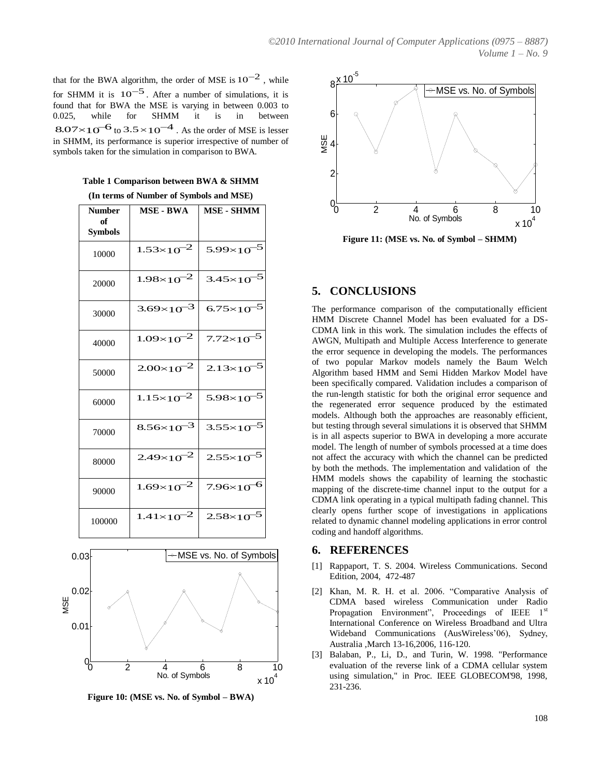that for the BWA algorithm, the order of MSE is  $10^{-2}$ , while  $8 \times 10^{-5}$ for SHMM it is  $10^{-5}$ . After a number of simulations, it is found that for BWA the MSE is varying in between 0.003 to 0.025, while for SHMM it is in between  $8.07 \times 10^{-6}$  to  $3.5 \times 10^{-4}$ . As the order of MSE is lesser in SHMM, its performance is superior irrespective of number of symbols taken for the simulation in comparison to BWA.

**Table 1 Comparison between BWA & SHMM** 

**(In terms of Number of Symbols and MSE)**

| <b>Number</b><br>of<br><b>Symbols</b> | <b>MSE - BWA</b>      | <b>MSE - SHMM</b>                         | $\overline{2}$<br>$\overline{\mathbf{4}}$<br>No. of Syr                                                                                                                                          |
|---------------------------------------|-----------------------|-------------------------------------------|--------------------------------------------------------------------------------------------------------------------------------------------------------------------------------------------------|
| 10000                                 | $1.53\times10^{-2}$   | $5.99\times10^{-5}$                       | Figure 11: (MSE vs. No. of                                                                                                                                                                       |
| 20000                                 |                       | $1.98\times10^{-2}$ 3.45 $\times10^{-5}$  | 5. CONCLUSIONS                                                                                                                                                                                   |
| 30000                                 | $3.69\times10^{-3}$   | $6.75 \times 10^{-5}$                     | The performance comparison of the<br>HMM Discrete Channel Model ha                                                                                                                               |
| 40000                                 | $1.09\times10^{-2}$   | $7.72\times10^{-5}$                       | CDMA link in this work. The simu<br>AWGN, Multipath and Multiple Ac<br>the error sequence in developing the                                                                                      |
| 50000                                 |                       | $2.00\times10^{-2}$ 2.13×10 <sup>-5</sup> | of two popular Markov models<br>Algorithm based HMM and Semi 1<br>been specifically compared. Validati                                                                                           |
| 60000                                 |                       | $1.15\times10^{-2}$ 5.98 $\times10^{-5}$  | the run-length statistic for both the<br>the regenerated error sequence p<br>models. Although both the approace                                                                                  |
| 70000                                 | 8.56×10 <sup>-3</sup> | $3.55 \times 10^{-5}$                     | but testing through several simulatio<br>is in all aspects superior to BWA in<br>model. The length of number of sym<br>not affect the accuracy with which t<br>by both the methods. The implemen |
| 80000                                 | $2.49\times10^{-2}$   | $2.55 \times 10^{-5}$                     |                                                                                                                                                                                                  |
| 90000                                 | $1.69\times10^{-2}$   | $7.96\times10^{-6}$                       | HMM models shows the capabilit<br>mapping of the discrete-time chann<br>CDMA link operating in a typical m                                                                                       |
| 100000                                | $1.41 \times 10^{-2}$ | $2.58\times10^{-5}$                       | clearly opens further scope of in<br>related to dynamic channel modeling<br>coding and handoff algorithms.                                                                                       |



**Figure 10: (MSE vs. No. of Symbol – BWA)**



**Figure 11:** (MSE vs. No. of Symbol – SHMM)

## **5. CONCLUSIONS**

 $3.69 \times 10^{-3}$  6.75 $\times 10^{-5}$  The performance comparison of the computationally efficient  $1.09 \times 10^{-2}$   $7.72 \times 10^{-5}$  CDMA link in this work. The simulation includes the effects of AWGN, Multipath and Multiple Access Interference to generate  $\frac{1}{2}$   $\frac{7.72 \times 10^{-5}}{2}$   $\frac{1}{2}$   $\frac{1}{2}$   $\frac{1}{2}$   $\frac{1}{2}$   $\frac{1}{2}$   $\frac{1}{2}$   $\frac{1}{2}$   $\frac{1}{2}$   $\frac{1}{2}$   $\frac{1}{2}$   $\frac{1}{2}$   $\frac{1}{2}$   $\frac{1}{2}$   $\frac{1}{2}$   $\frac{1}{2}$   $\frac{1}{2}$   $\frac{1}{2}$   $\frac{1}{2}$   $\frac{1}{2}$   $2.00\times10^{-2}$   $2.13\times10^{-5}$  of two popular Markov models namely the Baum Welch  $2.00\times10^{-2}$   $2.13\times10^{-5}$  $1.15 \times 10^{-2}$   $5.98 \times 10^{-5}$  the run-length statistic for both the original error sequence and  $8.56 \times 10^{-3}$   $3.55 \times 10^{-5}$  but testing through several simulations it is observed that SHMM  $2.49\times10^{-2}$   $2.55\times10^{-5}$  model. The length of number of symbols processed at a time does  $\frac{1.69 \times 10^{-2}}{7.96 \times 10^{-6}}$  Thinkin models shows the capability of learning the stochastic mapping of the discrete-time channel input to the output for a  $\frac{1}{2}$  7.96×10<sup>-6</sup> HMM models shows the capability of learning the stochastic magnetic magnetic method input to the output for a  $1.41 \times 10^{-2}$  2.58 $\times 10^{-5}$  clearly opens further scope of investigations in applications<br>related to dynamic channel modeling applications in error control  $\frac{-2}{2.58 \times 10^{-5}}$  clearly opens further scope of investigations in applications HMM Discrete Channel Model has been evaluated for a DSthe error sequence in developing the models. The performances Algorithm based HMM and Semi Hidden Markov Model have been specifically compared. Validation includes a comparison of the regenerated error sequence produced by the estimated models. Although both the approaches are reasonably efficient, is in all aspects superior to BWA in developing a more accurate model. The length of number of symbols processed at a time does by both the methods. The implementation and validation of the CDMA link operating in a typical multipath fading channel. This coding and handoff algorithms.

## **6. REFERENCES**

- [1] Rappaport, T. S. 2004. Wireless Communications. Second Edition, 2004, 472-487
- [2] Khan, M. R. H. et al. 2006. "Comparative Analysis of CDMA based wireless Communication under Radio Propagation Environment", Proceedings of IEEE 1<sup>st</sup> International Conference on Wireless Broadband and Ultra Wideband Communications (AusWireless'06), Sydney, Australia ,March 13-16,2006, 116-120.
- [3] Balaban, P., Li, D., and Turin, W. 1998. "Performance evaluation of the reverse link of a CDMA cellular system using simulation," in Proc. IEEE GLOBECOM'98, 1998, 231-236.